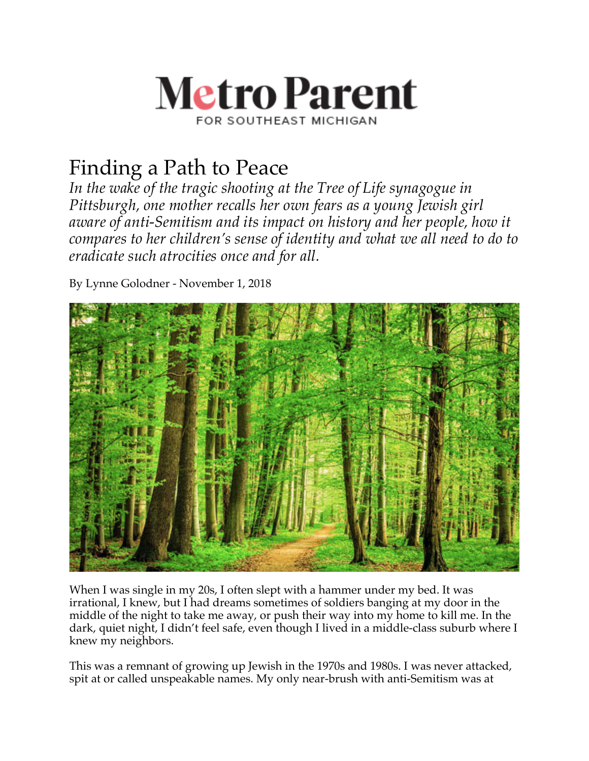

## Finding a Path to Peace

*In the wake of the tragic shooting at the Tree of Life synagogue in Pittsburgh, one mother recalls her own fears as a young Jewish girl aware of anti-Semitism and its impact on history and her people, how it compares to her children's sense of identity and what we all need to do to eradicate such atrocities once and for all.*

By Lynne Golodner - November 1, 2018



When I was single in my 20s, I often slept with a hammer under my bed. It was irrational, I knew, but I had dreams sometimes of soldiers banging at my door in the middle of the night to take me away, or push their way into my home to kill me. In the dark, quiet night, I didn't feel safe, even though I lived in a middle-class suburb where I knew my neighbors.

This was a remnant of growing up Jewish in the 1970s and 1980s. I was never attacked, spit at or called unspeakable names. My only near-brush with anti-Semitism was at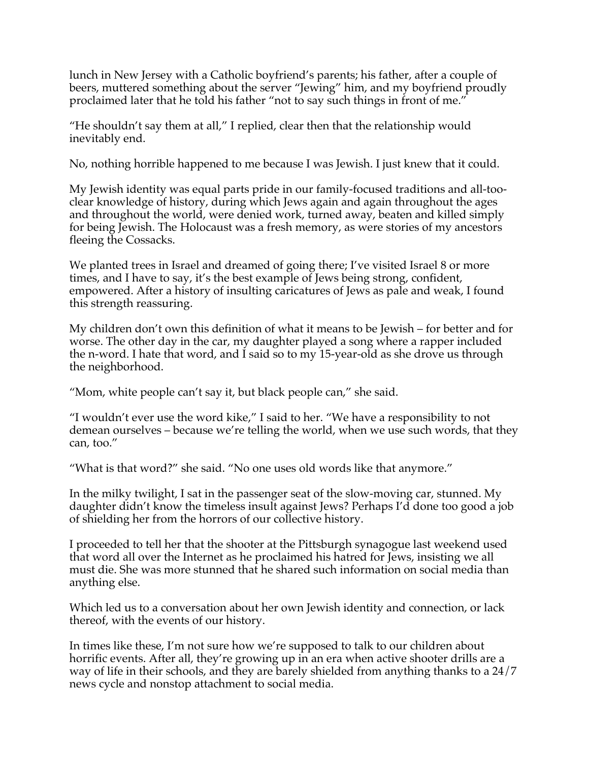lunch in New Jersey with a Catholic boyfriend's parents; his father, after a couple of beers, muttered something about the server "Jewing" him, and my boyfriend proudly proclaimed later that he told his father "not to say such things in front of me."

"He shouldn't say them at all," I replied, clear then that the relationship would inevitably end.

No, nothing horrible happened to me because I was Jewish. I just knew that it could.

My Jewish identity was equal parts pride in our family-focused traditions and all-tooclear knowledge of history, during which Jews again and again throughout the ages and throughout the world, were denied work, turned away, beaten and killed simply for being Jewish. The Holocaust was a fresh memory, as were stories of my ancestors fleeing the Cossacks.

We planted trees in Israel and dreamed of going there; I've visited Israel 8 or more times, and I have to say, it's the best example of Jews being strong, confident, empowered. After a history of insulting caricatures of Jews as pale and weak, I found this strength reassuring.

My children don't own this definition of what it means to be Jewish – for better and for worse. The other day in the car, my daughter played a song where a rapper included the n-word. I hate that word, and I said so to my 15-year-old as she drove us through the neighborhood.

"Mom, white people can't say it, but black people can," she said.

"I wouldn't ever use the word kike," I said to her. "We have a responsibility to not demean ourselves – because we're telling the world, when we use such words, that they can, too."

"What is that word?" she said. "No one uses old words like that anymore."

In the milky twilight, I sat in the passenger seat of the slow-moving car, stunned. My daughter didn't know the timeless insult against Jews? Perhaps I'd done too good a job of shielding her from the horrors of our collective history.

I proceeded to tell her that the shooter at the Pittsburgh synagogue last weekend used that word all over the Internet as he proclaimed his hatred for Jews, insisting we all must die. She was more stunned that he shared such information on social media than anything else.

Which led us to a conversation about her own Jewish identity and connection, or lack thereof, with the events of our history.

In times like these, I'm not sure how we're supposed to talk to our children about horrific events. After all, they're growing up in an era when active shooter drills are a way of life in their schools, and they are barely shielded from anything thanks to a 24/7 news cycle and nonstop attachment to social media.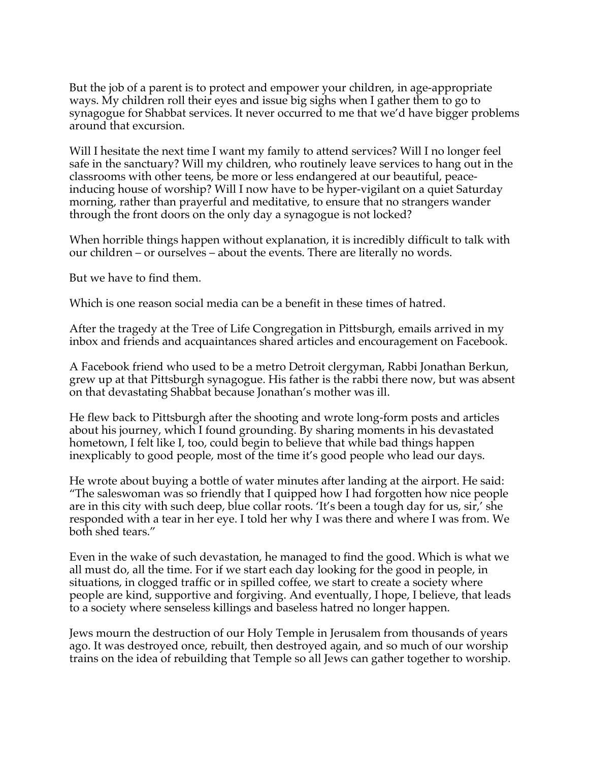But the job of a parent is to protect and empower your children, in age-appropriate ways. My children roll their eyes and issue big sighs when I gather them to go to synagogue for Shabbat services. It never occurred to me that we'd have bigger problems around that excursion.

Will I hesitate the next time I want my family to attend services? Will I no longer feel safe in the sanctuary? Will my children, who routinely leave services to hang out in the classrooms with other teens, be more or less endangered at our beautiful, peaceinducing house of worship? Will I now have to be hyper-vigilant on a quiet Saturday morning, rather than prayerful and meditative, to ensure that no strangers wander through the front doors on the only day a synagogue is not locked?

When horrible things happen without explanation, it is incredibly difficult to talk with our children – or ourselves – about the events. There are literally no words.

But we have to find them.

Which is one reason social media can be a benefit in these times of hatred.

After the tragedy at the Tree of Life Congregation in Pittsburgh, emails arrived in my inbox and friends and acquaintances shared articles and encouragement on Facebook.

A Facebook friend who used to be a metro Detroit clergyman, Rabbi Jonathan Berkun, grew up at that Pittsburgh synagogue. His father is the rabbi there now, but was absent on that devastating Shabbat because Jonathan's mother was ill.

He flew back to Pittsburgh after the shooting and wrote long-form posts and articles about his journey, which I found grounding. By sharing moments in his devastated hometown, I felt like I, too, could begin to believe that while bad things happen inexplicably to good people, most of the time it's good people who lead our days.

He wrote about buying a bottle of water minutes after landing at the airport. He said: "The saleswoman was so friendly that I quipped how I had forgotten how nice people are in this city with such deep, blue collar roots. 'It's been a tough day for us, sir,' she responded with a tear in her eye. I told her why I was there and where I was from. We both shed tears."

Even in the wake of such devastation, he managed to find the good. Which is what we all must do, all the time. For if we start each day looking for the good in people, in situations, in clogged traffic or in spilled coffee, we start to create a society where people are kind, supportive and forgiving. And eventually, I hope, I believe, that leads to a society where senseless killings and baseless hatred no longer happen.

Jews mourn the destruction of our Holy Temple in Jerusalem from thousands of years ago. It was destroyed once, rebuilt, then destroyed again, and so much of our worship trains on the idea of rebuilding that Temple so all Jews can gather together to worship.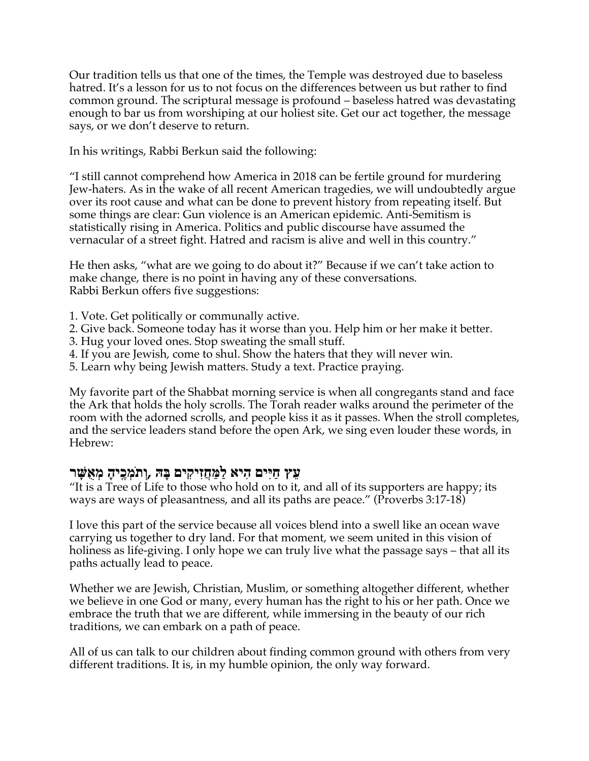Our tradition tells us that one of the times, the Temple was destroyed due to baseless hatred. It's a lesson for us to not focus on the differences between us but rather to find common ground. The scriptural message is profound – baseless hatred was devastating enough to bar us from worshiping at our holiest site. Get our act together, the message says, or we don't deserve to return.

In his writings, Rabbi Berkun said the following:

"I still cannot comprehend how America in 2018 can be fertile ground for murdering Jew-haters. As in the wake of all recent American tragedies, we will undoubtedly argue over its root cause and what can be done to prevent history from repeating itself. But some things are clear: Gun violence is an American epidemic. Anti-Semitism is statistically rising in America. Politics and public discourse have assumed the vernacular of a street fight. Hatred and racism is alive and well in this country."

He then asks, "what are we going to do about it?" Because if we can't take action to make change, there is no point in having any of these conversations. Rabbi Berkun offers five suggestions:

- 1. Vote. Get politically or communally active.
- 2. Give back. Someone today has it worse than you. Help him or her make it better.
- 3. Hug your loved ones. Stop sweating the small stuff.
- 4. If you are Jewish, come to shul. Show the haters that they will never win.
- 5. Learn why being Jewish matters. Study a text. Practice praying.

My favorite part of the Shabbat morning service is when all congregants stand and face the Ark that holds the holy scrolls. The Torah reader walks around the perimeter of the room with the adorned scrolls, and people kiss it as it passes. When the stroll completes, and the service leaders stand before the open Ark, we sing even louder these words, in Hebrew:

## **ץֵע םיִיַּח איִה םיִקיִזֲחַמַּל הָּבּ , ָהיֶֽכְמֹתְו רָשֻּׁאְמ**

"It is a Tree of Life to those who hold on to it, and all of its supporters are happy; its ways are ways of pleasantness, and all its paths are peace." (Proverbs 3:17-18)

I love this part of the service because all voices blend into a swell like an ocean wave carrying us together to dry land. For that moment, we seem united in this vision of holiness as life-giving. I only hope we can truly live what the passage says – that all its paths actually lead to peace.

Whether we are Jewish, Christian, Muslim, or something altogether different, whether we believe in one God or many, every human has the right to his or her path. Once we embrace the truth that we are different, while immersing in the beauty of our rich traditions, we can embark on a path of peace.

All of us can talk to our children about finding common ground with others from very different traditions. It is, in my humble opinion, the only way forward.